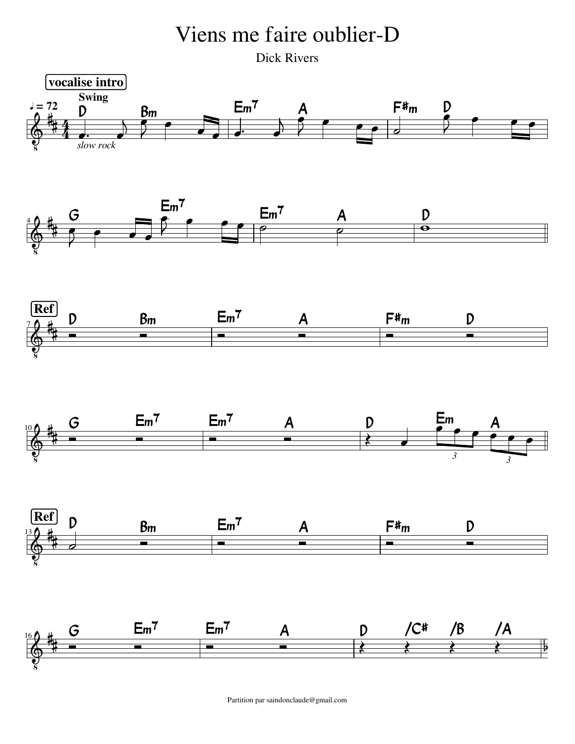

Partition par saindonclaude@gmail.com